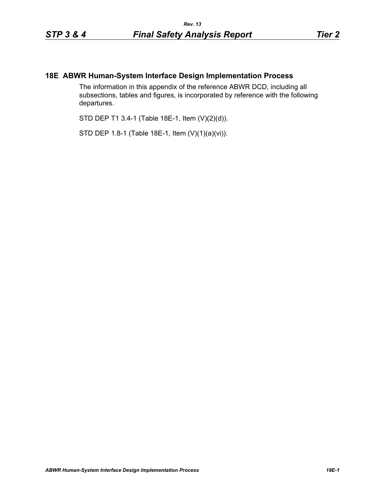## **18E ABWR Human-System Interface Design Implementation Process**

The information in this appendix of the reference ABWR DCD, including all subsections, tables and figures, is incorporated by reference with the following departures.

STD DEP T1 3.4-1 (Table 18E-1, Item (V)(2)(d)).

STD DEP 1.8-1 (Table 18E-1, Item (V)(1)(a)(vi)).